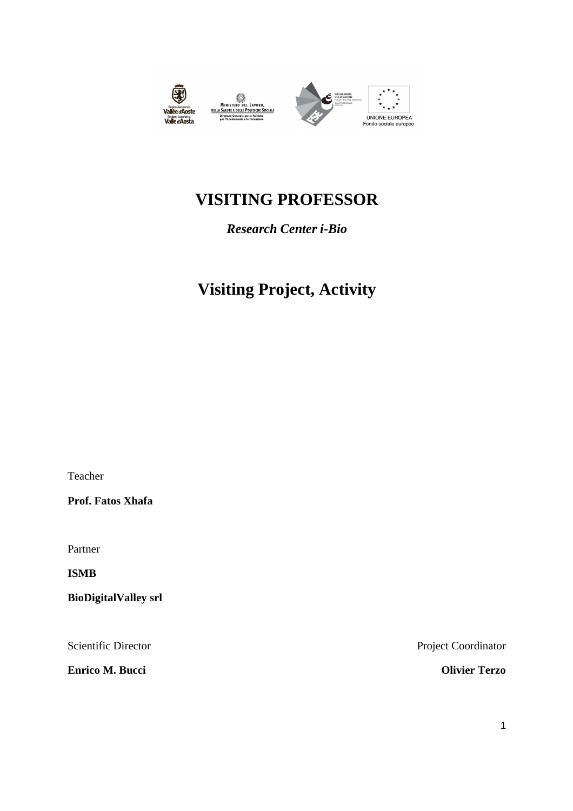

MINISTRO DEL LAVORO,<br>MINISTRO DEL LAVORO,<br>DELLA SALUTE DELLE POLITICHE SOCIALI



## **VISITING PROFESSOR**

*Research Center i-Bio* 

## **Visiting Project, Activity**

Teacher

**Prof. Fatos Xhafa** 

Partner

**ISMB** 

**BioDigitalValley srl** 

**Enrico M. Bucci Olivier Terzo** 

Scientific Director Project Coordinator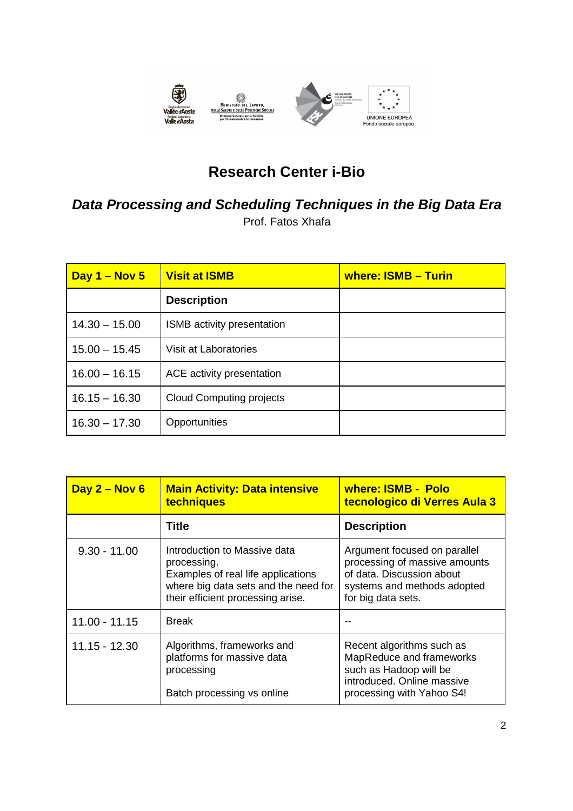

## **Research Center i-Bio**

## **Data Processing and Scheduling Techniques in the Big Data Era**

Prof. Fatos Xhafa

| Day 1 - Nov 5   | <b>Visit at ISMB</b>            | where: ISMB - Turin |
|-----------------|---------------------------------|---------------------|
|                 | <b>Description</b>              |                     |
| $14.30 - 15.00$ | ISMB activity presentation      |                     |
| $15.00 - 15.45$ | Visit at Laboratories           |                     |
| $16.00 - 16.15$ | ACE activity presentation       |                     |
| $16.15 - 16.30$ | <b>Cloud Computing projects</b> |                     |
| $16.30 - 17.30$ | Opportunities                   |                     |

| Day $2 -$ Nov 6 | <b>Main Activity: Data intensive</b><br>techniques                                                                                                             | where: ISMB - Polo<br>tecnologico di Verres Aula 3                                                                                              |
|-----------------|----------------------------------------------------------------------------------------------------------------------------------------------------------------|-------------------------------------------------------------------------------------------------------------------------------------------------|
|                 | Title                                                                                                                                                          | <b>Description</b>                                                                                                                              |
| $9.30 - 11.00$  | Introduction to Massive data<br>processing.<br>Examples of real life applications<br>where big data sets and the need for<br>their efficient processing arise. | Argument focused on parallel<br>processing of massive amounts<br>of data. Discussion about<br>systems and methods adopted<br>for big data sets. |
| $11.00 - 11.15$ | <b>Break</b>                                                                                                                                                   |                                                                                                                                                 |
| $11.15 - 12.30$ | Algorithms, frameworks and<br>platforms for massive data<br>processing<br>Batch processing vs online                                                           | Recent algorithms such as<br>MapReduce and frameworks<br>such as Hadoop will be<br>introduced. Online massive<br>processing with Yahoo S4!      |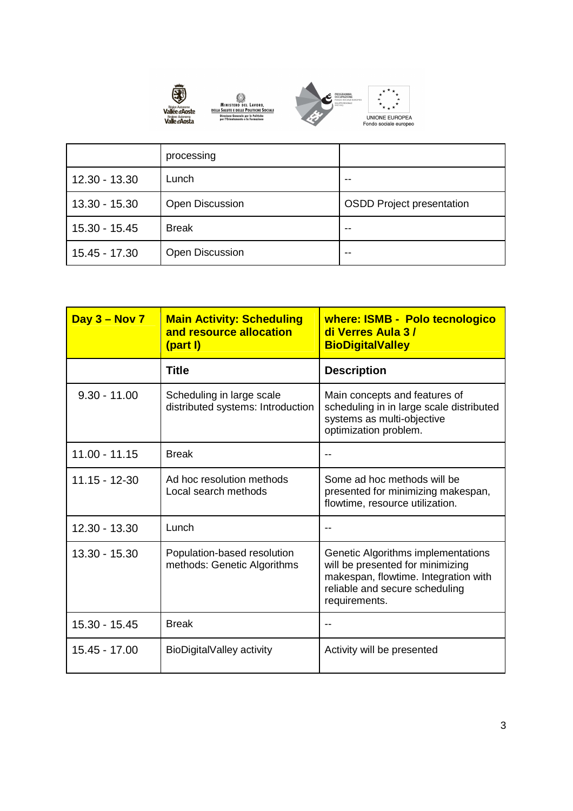

**EXAMPLE 2018**<br>
MINISTERO DEL LAVORO,<br>
<u>DELLA SALUTE E DELLE POLITICHE SOCIALI</u><br>
Diraisone Generale per le Colitation<br>
per l'Orientamento e la formazione



|               | processing             |                                  |
|---------------|------------------------|----------------------------------|
| 12.30 - 13.30 | Lunch                  |                                  |
| 13.30 - 15.30 | <b>Open Discussion</b> | <b>OSDD Project presentation</b> |
| 15.30 - 15.45 | <b>Break</b>           |                                  |
| 15.45 - 17.30 | <b>Open Discussion</b> |                                  |

| Day $3 -$ Nov $7$ | <b>Main Activity: Scheduling</b><br>and resource allocation<br>(part I) | where: ISMB - Polo tecnologico<br>di Verres Aula 3/<br><b>BioDigitalValley</b>                                                                                    |
|-------------------|-------------------------------------------------------------------------|-------------------------------------------------------------------------------------------------------------------------------------------------------------------|
|                   | <b>Title</b>                                                            | <b>Description</b>                                                                                                                                                |
| $9.30 - 11.00$    | Scheduling in large scale<br>distributed systems: Introduction          | Main concepts and features of<br>scheduling in in large scale distributed<br>systems as multi-objective<br>optimization problem.                                  |
| $11.00 - 11.15$   | <b>Break</b>                                                            |                                                                                                                                                                   |
| $11.15 - 12 - 30$ | Ad hoc resolution methods<br>Local search methods                       | Some ad hoc methods will be<br>presented for minimizing makespan,<br>flowtime, resource utilization.                                                              |
| 12.30 - 13.30     | Lunch                                                                   |                                                                                                                                                                   |
| $13.30 - 15.30$   | Population-based resolution<br>methods: Genetic Algorithms              | Genetic Algorithms implementations<br>will be presented for minimizing<br>makespan, flowtime. Integration with<br>reliable and secure scheduling<br>requirements. |
| 15.30 - 15.45     | <b>Break</b>                                                            |                                                                                                                                                                   |
| 15.45 - 17.00     | BioDigitalValley activity                                               | Activity will be presented                                                                                                                                        |